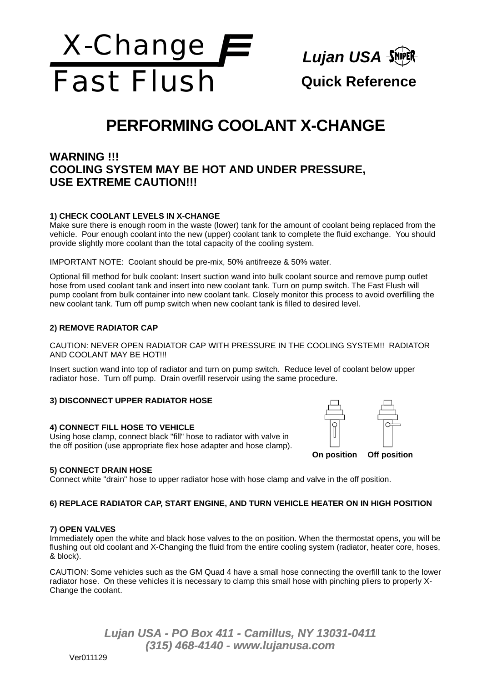

# **PERFORMING COOLANT X-CHANGE**

## **WARNING !!! COOLING SYSTEM MAY BE HOT AND UNDER PRESSURE, USE EXTREME CAUTION!!!**

### **1) CHECK COOLANT LEVELS IN X-CHANGE**

Make sure there is enough room in the waste (lower) tank for the amount of coolant being replaced from the vehicle. Pour enough coolant into the new (upper) coolant tank to complete the fluid exchange. You should provide slightly more coolant than the total capacity of the cooling system.

IMPORTANT NOTE: Coolant should be pre-mix, 50% antifreeze & 50% water.

Optional fill method for bulk coolant: Insert suction wand into bulk coolant source and remove pump outlet hose from used coolant tank and insert into new coolant tank. Turn on pump switch. The Fast Flush will pump coolant from bulk container into new coolant tank. Closely monitor this process to avoid overfilling the new coolant tank. Turn off pump switch when new coolant tank is filled to desired level.

### **2) REMOVE RADIATOR CAP**

CAUTION: NEVER OPEN RADIATOR CAP WITH PRESSURE IN THE COOLING SYSTEM!! RADIATOR AND COOLANT MAY BE HOT !!!

Insert suction wand into top of radiator and turn on pump switch. Reduce level of coolant below upper radiator hose. Turn off pump. Drain overfill reservoir using the same procedure.

### **3) DISCONNECT UPPER RADIATOR HOSE**

### **4) CONNECT FILL HOSE TO VEHICLE**

Using hose clamp, connect black "fill" hose to radiator with valve in the off position (use appropriate flex hose adapter and hose clamp).



### **5) CONNECT DRAIN HOSE**

Connect white "drain" hose to upper radiator hose with hose clamp and valve in the off position.

### **6) REPLACE RADIATOR CAP, START ENGINE, AND TURN VEHICLE HEATER ON IN HIGH POSITION**

### **7) OPEN VALVES**

Immediately open the white and black hose valves to the on position. When the thermostat opens, you will be flushing out old coolant and X-Changing the fluid from the entire cooling system (radiator, heater core, hoses, & block).

CAUTION: Some vehicles such as the GM Quad 4 have a small hose connecting the overfill tank to the lower radiator hose. On these vehicles it is necessary to clamp this small hose with pinching pliers to properly X-Change the coolant.

> *Lujan USA - PO Box 411 - Camillus, NY 13031-0411 (315) 468-4140 - www.lujanusa.com*